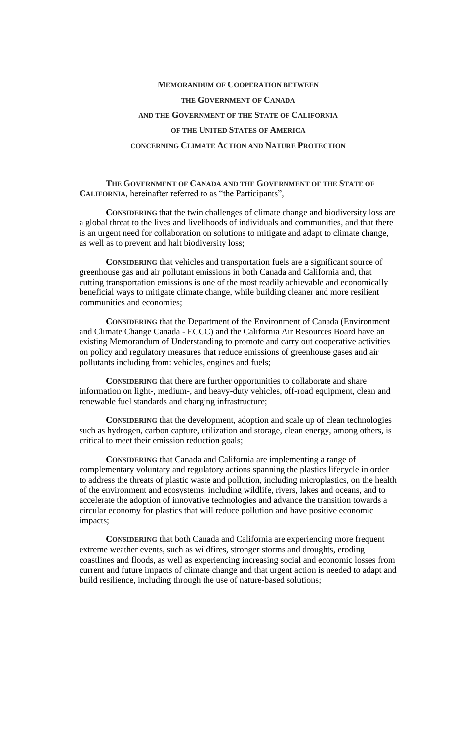# **MEMORANDUM OF COOPERATION BETWEEN THE GOVERNMENT OF CANADA AND THE GOVERNMENT OF THE STATE OF CALIFORNIA OF THE UNITED STATES OF AMERICA**

#### **CONCERNING CLIMATE ACTION AND NATURE PROTECTION**

### **THE GOVERNMENT OF CANADA AND THE GOVERNMENT OF THE STATE OF CALIFORNIA**, hereinafter referred to as "the Participants",

**CONSIDERING** that the twin challenges of climate change and biodiversity loss are a global threat to the lives and livelihoods of individuals and communities, and that there is an urgent need for collaboration on solutions to mitigate and adapt to climate change, as well as to prevent and halt biodiversity loss;

**CONSIDERING** that vehicles and transportation fuels are a significant source of greenhouse gas and air pollutant emissions in both Canada and California and, that cutting transportation emissions is one of the most readily achievable and economically beneficial ways to mitigate climate change, while building cleaner and more resilient communities and economies;

**CONSIDERING** that the Department of the Environment of Canada (Environment and Climate Change Canada - ECCC) and the California Air Resources Board have an existing Memorandum of Understanding to promote and carry out cooperative activities on policy and regulatory measures that reduce emissions of greenhouse gases and air pollutants including from: vehicles, engines and fuels;

**CONSIDERING** that there are further opportunities to collaborate and share information on light-, medium-, and heavy-duty vehicles, off-road equipment, clean and renewable fuel standards and charging infrastructure;

**CONSIDERING** that the development, adoption and scale up of clean technologies such as hydrogen, carbon capture, utilization and storage, clean energy, among others, is critical to meet their emission reduction goals;

**CONSIDERING** that Canada and California are implementing a range of complementary voluntary and regulatory actions spanning the plastics lifecycle in order to address the threats of plastic waste and pollution, including microplastics, on the health of the environment and ecosystems, including wildlife, rivers, lakes and oceans, and to accelerate the adoption of innovative technologies and advance the transition towards a circular economy for plastics that will reduce pollution and have positive economic impacts;

**CONSIDERING** that both Canada and California are experiencing more frequent extreme weather events, such as wildfires, stronger storms and droughts, eroding coastlines and floods, as well as experiencing increasing social and economic losses from current and future impacts of climate change and that urgent action is needed to adapt and build resilience, including through the use of nature-based solutions;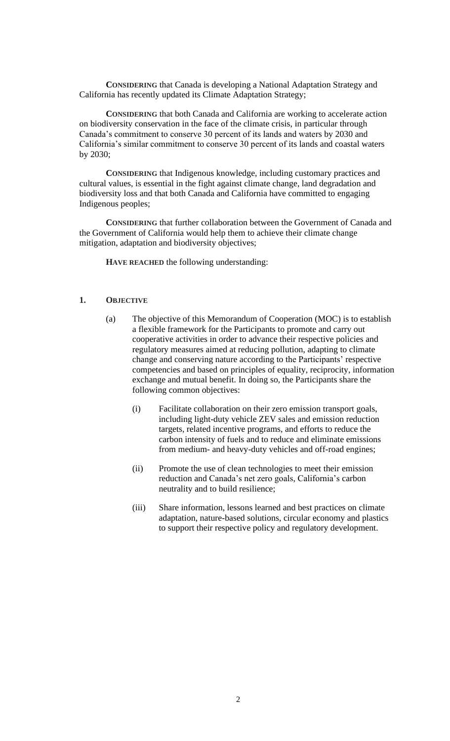**CONSIDERING** that Canada is developing a National Adaptation Strategy and California has recently updated its Climate Adaptation Strategy;

**CONSIDERING** that both Canada and California are working to accelerate action on biodiversity conservation in the face of the climate crisis, in particular through Canada's commitment to conserve 30 percent of its lands and waters by 2030 and California's similar commitment to conserve 30 percent of its lands and coastal waters by 2030;

**CONSIDERING** that Indigenous knowledge, including customary practices and cultural values, is essential in the fight against climate change, land degradation and biodiversity loss and that both Canada and California have committed to engaging Indigenous peoples;

**CONSIDERING** that further collaboration between the Government of Canada and the Government of California would help them to achieve their climate change mitigation, adaptation and biodiversity objectives;

**HAVE REACHED** the following understanding:

# **1. OBJECTIVE**

- (a) The objective of this Memorandum of Cooperation (MOC) is to establish a flexible framework for the Participants to promote and carry out cooperative activities in order to advance their respective policies and regulatory measures aimed at reducing pollution, adapting to climate change and conserving nature according to the Participants' respective competencies and based on principles of equality, reciprocity, information exchange and mutual benefit. In doing so, the Participants share the following common objectives:
	- (i) Facilitate collaboration on their zero emission transport goals, including light-duty vehicle ZEV sales and emission reduction targets, related incentive programs, and efforts to reduce the carbon intensity of fuels and to reduce and eliminate emissions from medium- and heavy-duty vehicles and off-road engines;
	- (ii) Promote the use of clean technologies to meet their emission reduction and Canada's net zero goals, California's carbon neutrality and to build resilience;
	- (iii) Share information, lessons learned and best practices on climate adaptation, nature-based solutions, circular economy and plastics to support their respective policy and regulatory development.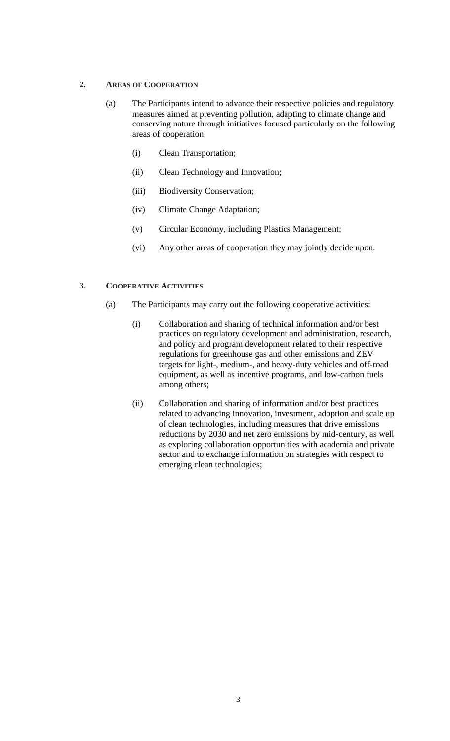## **2. AREAS OF COOPERATION**

- (a) The Participants intend to advance their respective policies and regulatory measures aimed at preventing pollution, adapting to climate change and conserving nature through initiatives focused particularly on the following areas of cooperation:
	- (i) Clean Transportation;
	- (ii) Clean Technology and Innovation;
	- (iii) Biodiversity Conservation;
	- (iv) Climate Change Adaptation;
	- (v) Circular Economy, including Plastics Management;
	- (vi) Any other areas of cooperation they may jointly decide upon.

# **3. COOPERATIVE ACTIVITIES**

- (a) The Participants may carry out the following cooperative activities:
	- (i) Collaboration and sharing of technical information and/or best practices on regulatory development and administration, research, and policy and program development related to their respective regulations for greenhouse gas and other emissions and ZEV targets for light-, medium-, and heavy-duty vehicles and off-road equipment, as well as incentive programs, and low-carbon fuels among others;
	- (ii) Collaboration and sharing of information and/or best practices related to advancing innovation, investment, adoption and scale up of clean technologies, including measures that drive emissions reductions by 2030 and net zero emissions by mid-century, as well as exploring collaboration opportunities with academia and private sector and to exchange information on strategies with respect to emerging clean technologies;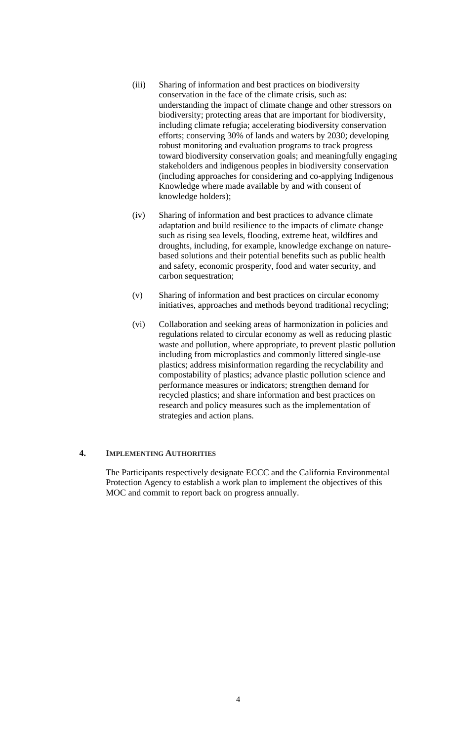- (iii) Sharing of information and best practices on biodiversity conservation in the face of the climate crisis, such as: understanding the impact of climate change and other stressors on biodiversity; protecting areas that are important for biodiversity, including climate refugia; accelerating biodiversity conservation efforts; conserving 30% of lands and waters by 2030; developing robust monitoring and evaluation programs to track progress toward biodiversity conservation goals; and meaningfully engaging stakeholders and indigenous peoples in biodiversity conservation (including approaches for considering and co-applying Indigenous Knowledge where made available by and with consent of knowledge holders);
- (iv) Sharing of information and best practices to advance climate adaptation and build resilience to the impacts of climate change such as rising sea levels, flooding, extreme heat, wildfires and droughts, including, for example, knowledge exchange on naturebased solutions and their potential benefits such as public health and safety, economic prosperity, food and water security, and carbon sequestration;
- (v) Sharing of information and best practices on circular economy initiatives, approaches and methods beyond traditional recycling;
- (vi) Collaboration and seeking areas of harmonization in policies and regulations related to circular economy as well as reducing plastic waste and pollution, where appropriate, to prevent plastic pollution including from microplastics and commonly littered single-use plastics; address misinformation regarding the recyclability and compostability of plastics; advance plastic pollution science and performance measures or indicators; strengthen demand for recycled plastics; and share information and best practices on research and policy measures such as the implementation of strategies and action plans.

## **4. IMPLEMENTING AUTHORITIES**

The Participants respectively designate ECCC and the California Environmental Protection Agency to establish a work plan to implement the objectives of this MOC and commit to report back on progress annually.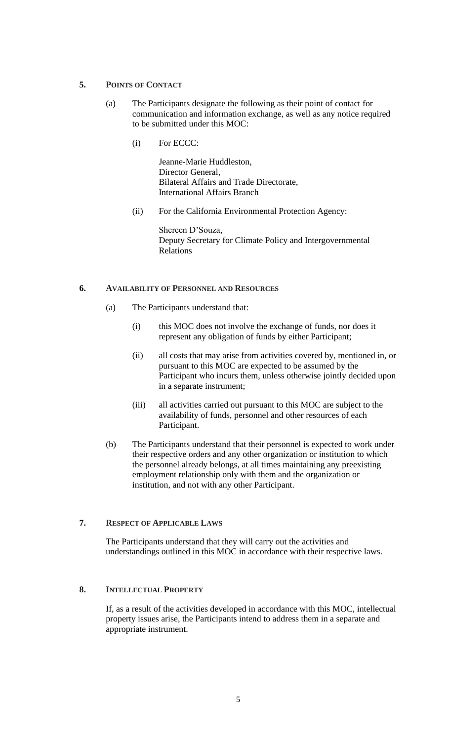## **5. POINTS OF CONTACT**

- (a) The Participants designate the following as their point of contact for communication and information exchange, as well as any notice required to be submitted under this MOC:
	- (i) For ECCC:

Jeanne-Marie Huddleston, Director General Bilateral Affairs and Trade Directorate, International Affairs Branch

(ii) For the California Environmental Protection Agency:

Shereen D'Souza, Deputy Secretary for Climate Policy and Intergovernmental Relations

## **6. AVAILABILITY OF PERSONNEL AND RESOURCES**

- (a) The Participants understand that:
	- (i) this MOC does not involve the exchange of funds, nor does it represent any obligation of funds by either Participant;
	- (ii) all costs that may arise from activities covered by, mentioned in, or pursuant to this MOC are expected to be assumed by the Participant who incurs them, unless otherwise jointly decided upon in a separate instrument;
	- (iii) all activities carried out pursuant to this MOC are subject to the availability of funds, personnel and other resources of each Participant.
- (b) The Participants understand that their personnel is expected to work under their respective orders and any other organization or institution to which the personnel already belongs, at all times maintaining any preexisting employment relationship only with them and the organization or institution, and not with any other Participant.

# **7. RESPECT OF APPLICABLE LAWS**

The Participants understand that they will carry out the activities and understandings outlined in this MOC in accordance with their respective laws.

## **8. INTELLECTUAL PROPERTY**

If, as a result of the activities developed in accordance with this MOC, intellectual property issues arise, the Participants intend to address them in a separate and appropriate instrument.